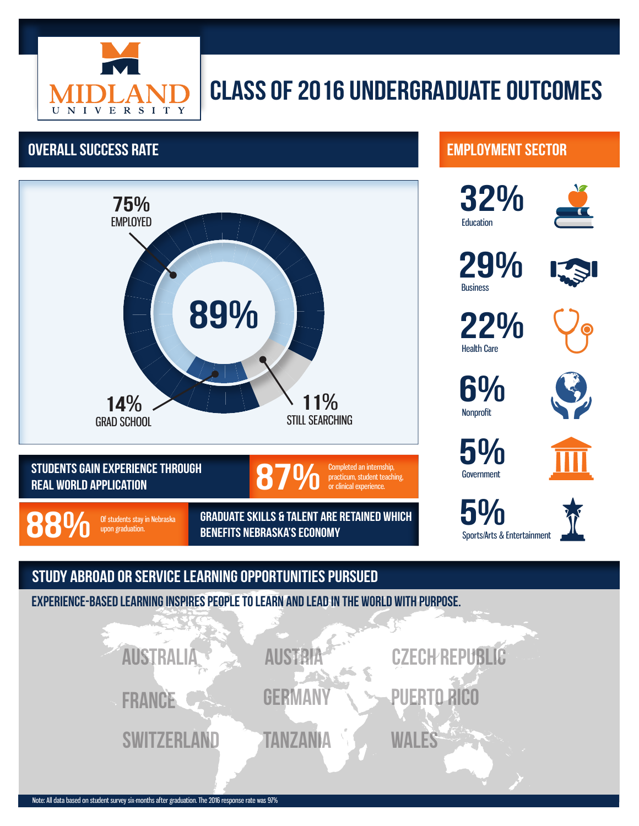

# CLASS OF 2016 UNDERGRADUATE OUTCOMES

## OVERALL SUCCESS RATE AND RESERVE EMPLOYMENT SECTOR



### STUDENTS GAIN EXPERIENCE THROUGH REAL WORLD APPLICATION

88% Of students stay in Nebraska

GRADUATE SKILLS & TALENT ARE RETAINED WHICH upon graduation. **SENEFITS NEBRASKA'S ECONOMY Example 2001 120 Sports/Arts & Entertainment** 

practicum, student teaching, or clinical experience.









22% Health Care



6% Nonprofit



5% **Government** 



**5 %**<br>Sports/Arts & Entertainment



### STUDY ABROAD OR SERVICE LEARNING OPPORTUNITIES PURSUED

Experience-based learning inspires people to learn and lead in the world with purpose.

AUSTR **FRANC SWITZERLAND** 

**AUSTRIA GERMANY** 

TANZANIA

CZECH REPUBLIC PUERTO RICO

WALES